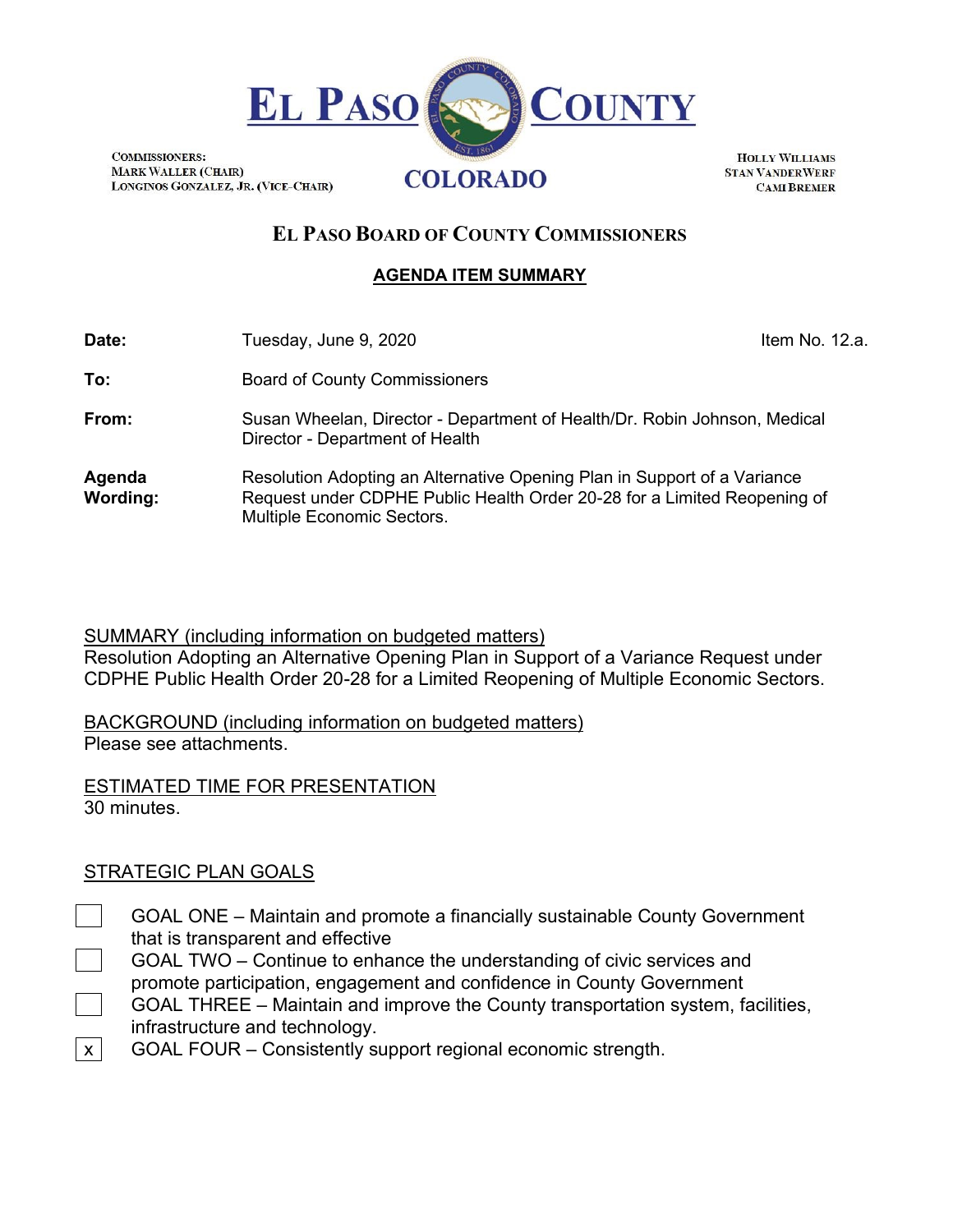

**COMMISSIONERS: MARK WALLER (CHAIR)** LONGINOS GONZALEZ, JR. (VICE-CHAIR)

**HOLLY WILLIAMS STAN VANDERWERF CAMI BREMER** 

# **EL PASO BOARD OF COUNTY COMMISSIONERS**

## **AGENDA ITEM SUMMARY**

| Date:                     | Tuesday, June 9, 2020                                                                                                                                                              | Item No. 12.a. |  |
|---------------------------|------------------------------------------------------------------------------------------------------------------------------------------------------------------------------------|----------------|--|
| To:                       | <b>Board of County Commissioners</b>                                                                                                                                               |                |  |
| From:                     | Susan Wheelan, Director - Department of Health/Dr. Robin Johnson, Medical<br>Director - Department of Health                                                                       |                |  |
| Agenda<br><b>Wording:</b> | Resolution Adopting an Alternative Opening Plan in Support of a Variance<br>Request under CDPHE Public Health Order 20-28 for a Limited Reopening of<br>Multiple Economic Sectors. |                |  |

### SUMMARY (including information on budgeted matters)

Resolution Adopting an Alternative Opening Plan in Support of a Variance Request under CDPHE Public Health Order 20-28 for a Limited Reopening of Multiple Economic Sectors.

BACKGROUND (including information on budgeted matters) Please see attachments.

ESTIMATED TIME FOR PRESENTATION 30 minutes.

## STRATEGIC PLAN GOALS

- GOAL ONE Maintain and promote a financially sustainable County Government that is transparent and effective
	- GOAL TWO Continue to enhance the understanding of civic services and promote participation, engagement and confidence in County Government
	- GOAL THREE Maintain and improve the County transportation system, facilities, infrastructure and technology.
- $x$  GOAL FOUR Consistently support regional economic strength.